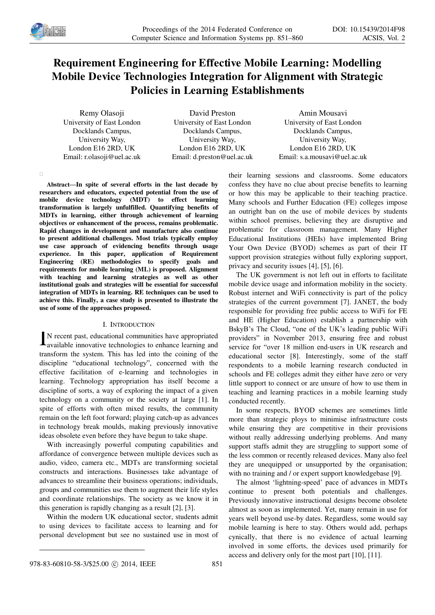

# **Requirement Engineering for Effective Mobile Learning: Modelling Mobile Device Technologies Integration for Alignment with Strategic Policies in Learning Establishments**

Remy Olasoji University of East London Docklands Campus, University Way, London E16 2RD, UK Email: r.olasoji@uel.ac.uk

David Preston University of East London Docklands Campus, University Way, London E16 2RD, UK Email: d.preston@uel.ac.uk

Amin Mousavi University of East London Docklands Campus, University Way, London E16 2RD, UK Email: s.a.mousavi@uel.ac.uk

 $\Box$ 

**Abstract***—***In spite of several efforts in the last decade by researchers and educators, expected potential from the use of mobile device technology (MDT) to effect learning transformation is largely unfulfilled. Quantifying benefits of MDTs in learning, either through achievement of learning objectives or enhancement of the process, remains problematic. Rapid changes in development and manufacture also continue to present additional challenges. Most trials typically employ use case approach of evidencing benefits through usage experience. In this paper, application of Requirement Engineering (RE) methodologies to specify goals and requirements for mobile learning (ML) is proposed. Alignment with teaching and learning strategies as well as other institutional goals and strategies will be essential for successful integration of MDTs in learning. RE techniques can be used to achieve this. Finally, a case study is presented to illustrate the use of some of the approaches proposed.** 

#### I. INTRODUCTION

N recent past, educational communities have appropriated IN recent past, educational communities have appropriated available innovative technologies to enhance learning and transform the system. This has led into the coining of the discipline "educational technology", concerned with the effective facilitation of e-learning and technologies in learning. Technology appropriation has itself become a discipline of sorts, a way of exploring the impact of a given technology on a community or the society at large [1]. In spite of efforts with often mixed results, the community remain on the left foot forward; playing catch-up as advances in technology break moulds, making previously innovative ideas obsolete even before they have begun to take shape.

With increasingly powerful computing capabilities and affordance of convergence between multiple devices such as audio, video, camera etc., MDTs are transforming societal constructs and interactions. Businesses take advantage of advances to streamline their business operations; individuals, groups and communities use them to augment their life styles and coordinate relationships. The society as we know it in this generation is rapidly changing as a result [2], [3].

Within the modern UK educational sector, students admit to using devices to facilitate access to learning and for personal development but see no sustained use in most of their learning sessions and classrooms. Some educators confess they have no clue about precise benefits to learning or how this may be applicable to their teaching practice. Many schools and Further Education (FE) colleges impose an outright ban on the use of mobile devices by students within school premises, believing they are disruptive and problematic for classroom management. Many Higher Educational Institutions (HEIs) have implemented Bring Your Own Device (BYOD) schemes as part of their IT support provision strategies without fully exploring support, privacy and security issues [4], [5], [6].

The UK government is not left out in efforts to facilitate mobile device usage and information mobility in the society. Robust internet and WiFi connectivity is part of the policy strategies of the current government [7]. JANET, the body responsible for providing free public access to WiFi for FE and HE (Higher Education) establish a partnership with BskyB's The Cloud, "one of the UK's leading public WiFi providers" in November 2013, ensuring free and robust service for "over 18 million end-users in UK research and educational sector [8]. Interestingly, some of the staff respondents to a mobile learning research conducted in schools and FE colleges admit they either have zero or very little support to connect or are unsure of how to use them in teaching and learning practices in a mobile learning study conducted recently.

In some respects, BYOD schemes are sometimes little more than strategic ploys to minimise infrastructure costs while ensuring they are competitive in their provisions without really addressing underlying problems. And many support staffs admit they are struggling to support some of the less common or recently released devices. Many also feel they are unequipped or unsupported by the organisation; with no training and / or expert support knowledgebase [9].

The almost 'lightning-speed' pace of advances in MDTs continue to present both potentials and challenges. Previously innovative instructional designs become obsolete almost as soon as implemented. Yet, many remain in use for years well beyond use-by dates. Regardless, some would say mobile learning is here to stay. Others would add, perhaps cynically, that there is no evidence of actual learning involved in some efforts, the devices used primarily for access and delivery only for the most part [10], [11].

-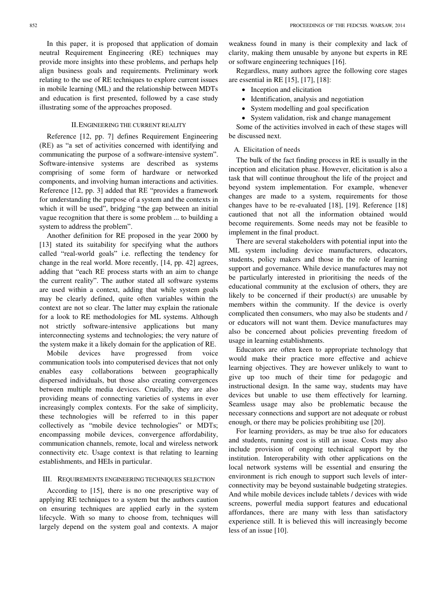In this paper, it is proposed that application of domain neutral Requirement Engineering (RE) techniques may provide more insights into these problems, and perhaps help align business goals and requirements. Preliminary work relating to the use of RE techniques to explore current issues in mobile learning (ML) and the relationship between MDTs and education is first presented, followed by a case study illustrating some of the approaches proposed.

#### II.ENGINEERING THE CURRENT REALITY

Reference [12, pp. 7] defines Requirement Engineering (RE) as "a set of activities concerned with identifying and communicating the purpose of a software-intensive system". Software-intensive systems are described as systems comprising of some form of hardware or networked components, and involving human interactions and activities. Reference [12, pp. 3] added that RE "provides a framework for understanding the purpose of a system and the contexts in which it will be used", bridging "the gap between an initial vague recognition that there is some problem ... to building a system to address the problem".

Another definition for RE proposed in the year 2000 by [13] stated its suitability for specifying what the authors called "real-world goals" i.e. reflecting the tendency for change in the real world. More recently, [14, pp. 42] agrees, adding that "each RE process starts with an aim to change the current reality". The author stated all software systems are used within a context, adding that while system goals may be clearly defined, quite often variables within the context are not so clear. The latter may explain the rationale for a look to RE methodologies for ML systems. Although not strictly software-intensive applications but many interconnecting systems and technologies; the very nature of the system make it a likely domain for the application of RE.

Mobile devices have progressed from voice communication tools into computerised devices that not only enables easy collaborations between geographically dispersed individuals, but those also creating convergences between multiple media devices. Crucially, they are also providing means of connecting varieties of systems in ever increasingly complex contexts. For the sake of simplicity, these technologies will be referred to in this paper collectively as "mobile device technologies" or MDTs; encompassing mobile devices, convergence affordability, communication channels, remote, local and wireless network connectivity etc. Usage context is that relating to learning establishments, and HEIs in particular.

#### III. REQUIREMENTS ENGINEERING TECHNIQUES SELECTION

According to [15], there is no one prescriptive way of applying RE techniques to a system but the authors caution on ensuring techniques are applied early in the system lifecycle. With so many to choose from, techniques will largely depend on the system goal and contexts. A major weakness found in many is their complexity and lack of clarity, making them unusable by anyone but experts in RE or software engineering techniques [16].

Regardless, many authors agree the following core stages are essential in RE [15], [17], [18]:

- Inception and elicitation
- Identification, analysis and negotiation
- System modelling and goal specification
- System validation, risk and change management

Some of the activities involved in each of these stages will be discussed next.

#### A. Elicitation of needs

The bulk of the fact finding process in RE is usually in the inception and elicitation phase. However, elicitation is also a task that will continue throughout the life of the project and beyond system implementation. For example, whenever changes are made to a system, requirements for those changes have to be re-evaluated [18], [19]. Reference [18] cautioned that not all the information obtained would become requirements. Some needs may not be feasible to implement in the final product.

There are several stakeholders with potential input into the ML system including device manufacturers, educators, students, policy makers and those in the role of learning support and governance. While device manufactures may not be particularly interested in prioritising the needs of the educational community at the exclusion of others, they are likely to be concerned if their product(s) are unusable by members within the community. If the device is overly complicated then consumers, who may also be students and / or educators will not want them. Device manufactures may also be concerned about policies preventing freedom of usage in learning establishments.

Educators are often keen to appropriate technology that would make their practice more effective and achieve learning objectives. They are however unlikely to want to give up too much of their time for pedagogic and instructional design. In the same way, students may have devices but unable to use them effectively for learning. Seamless usage may also be problematic because the necessary connections and support are not adequate or robust enough, or there may be policies prohibiting use [20].

For learning providers, as may be true also for educators and students, running cost is still an issue. Costs may also include provision of ongoing technical support by the institution. Interoperability with other applications on the local network systems will be essential and ensuring the environment is rich enough to support such levels of interconnectivity may be beyond sustainable budgeting strategies. And while mobile devices include tablets / devices with wide screens, powerful media support features and educational affordances, there are many with less than satisfactory experience still. It is believed this will increasingly become less of an issue [10].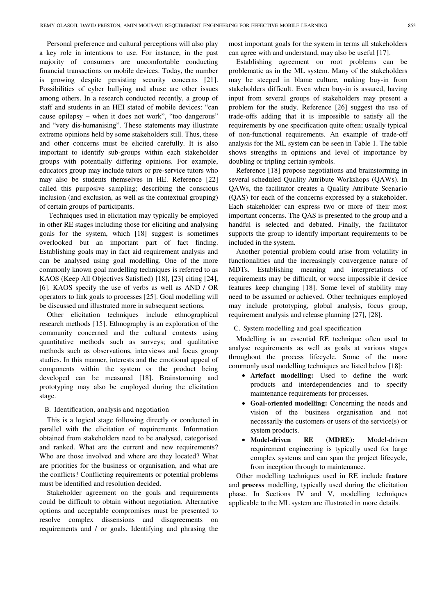Personal preference and cultural perceptions will also play a key role in intentions to use. For instance, in the past majority of consumers are uncomfortable conducting financial transactions on mobile devices. Today, the number is growing despite persisting security concerns [21]. Possibilities of cyber bullying and abuse are other issues among others. In a research conducted recently, a group of staff and students in an HEI stated of mobile devices: "can cause epilepsy – when it does not work", "too dangerous" and "very dis-humanising". These statements may illustrate extreme opinions held by some stakeholders still. Thus, these and other concerns must be elicited carefully. It is also important to identify sub-groups within each stakeholder groups with potentially differing opinions. For example, educators group may include tutors or pre-service tutors who may also be students themselves in HE. Reference [22] called this purposive sampling; describing the conscious inclusion (and exclusion, as well as the contextual grouping) of certain groups of participants.

 Techniques used in elicitation may typically be employed in other RE stages including those for eliciting and analysing goals for the system, which [18] suggest is sometimes overlooked but an important part of fact finding. Establishing goals may in fact aid requirement analysis and can be analysed using goal modelling. One of the more commonly known goal modelling techniques is referred to as KAOS (Keep All Objectives Satisfied) [18], [23] citing [24], [6]. KAOS specify the use of verbs as well as AND / OR operators to link goals to processes [25]. Goal modelling will be discussed and illustrated more in subsequent sections.

Other elicitation techniques include ethnographical research methods [15]. Ethnography is an exploration of the community concerned and the cultural contexts using quantitative methods such as surveys; and qualitative methods such as observations, interviews and focus group studies. In this manner, interests and the emotional appeal of components within the system or the product being developed can be measured [18]. Brainstorming and prototyping may also be employed during the elicitation stage.

#### B. Identification, analysis and negotiation

This is a logical stage following directly or conducted in parallel with the elicitation of requirements. Information obtained from stakeholders need to be analysed, categorised and ranked. What are the current and new requirements? Who are those involved and where are they located? What are priorities for the business or organisation, and what are the conflicts? Conflicting requirements or potential problems must be identified and resolution decided.

Stakeholder agreement on the goals and requirements could be difficult to obtain without negotiation. Alternative options and acceptable compromises must be presented to resolve complex dissensions and disagreements on requirements and / or goals. Identifying and phrasing the

most important goals for the system in terms all stakeholders can agree with and understand, may also be useful [17].

Establishing agreement on root problems can be problematic as in the ML system. Many of the stakeholders may be steeped in blame culture, making buy-in from stakeholders difficult. Even when buy-in is assured, having input from several groups of stakeholders may present a problem for the study. Reference [26] suggest the use of trade-offs adding that it is impossible to satisfy all the requirements by one specification quite often; usually typical of non-functional requirements. An example of trade-off analysis for the ML system can be seen in Table 1. The table shows strengths in opinions and level of importance by doubling or tripling certain symbols.

Reference [18] propose negotiations and brainstorming in several scheduled Quality Attribute Workshops (QAWs). In QAWs, the facilitator creates a Quality Attribute Scenario (QAS) for each of the concerns expressed by a stakeholder. Each stakeholder can express two or more of their most important concerns. The QAS is presented to the group and a handful is selected and debated. Finally, the facilitator supports the group to identify important requirements to be included in the system.

Another potential problem could arise from volatility in functionalities and the increasingly convergence nature of MDTs. Establishing meaning and interpretations of requirements may be difficult, or worse impossible if device features keep changing [18]. Some level of stability may need to be assumed or achieved. Other techniques employed may include prototyping, global analysis, focus group, requirement analysis and release planning [27], [28].

C. System modelling and goal specification

Modelling is an essential RE technique often used to analyse requirements as well as goals at various stages throughout the process lifecycle. Some of the more commonly used modelling techniques are listed below [18]:

- **Artefact modelling:** Used to define the work products and interdependencies and to specify maintenance requirements for processes.
- **Goal-oriented modelling:** Concerning the needs and vision of the business organisation and not necessarily the customers or users of the service(s) or system products.
- **Model-driven RE (MDRE):** Model-driven requirement engineering is typically used for large complex systems and can span the project lifecycle, from inception through to maintenance.

Other modelling techniques used in RE include **feature** and **process** modelling, typically used during the elicitation phase. In Sections IV and V, modelling techniques applicable to the ML system are illustrated in more details.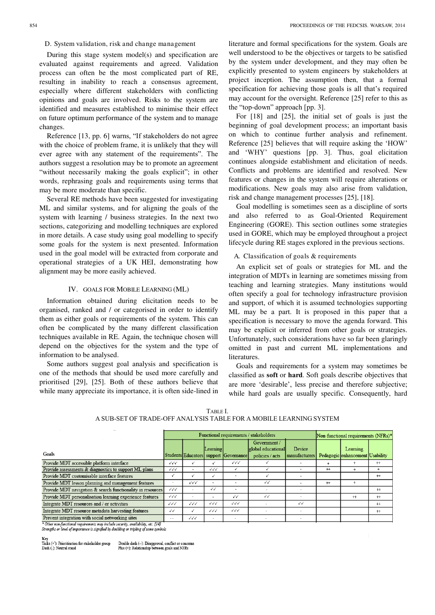During this stage system model(s) and specification are evaluated against requirements and agreed. Validation process can often be the most complicated part of RE, resulting in inability to reach a consensus agreement, especially where different stakeholders with conflicting opinions and goals are involved. Risks to the system are identified and measures established to minimise their effect on future optimum performance of the system and to manage changes.

Reference [13, pp. 6] warns, "If stakeholders do not agree with the choice of problem frame, it is unlikely that they will ever agree with any statement of the requirements". The authors suggest a resolution may be to promote an agreement "without necessarily making the goals explicit"; in other words, rephrasing goals and requirements using terms that may be more moderate than specific.

Several RE methods have been suggested for investigating ML and similar systems, and for aligning the goals of the system with learning / business strategies. In the next two sections, categorizing and modelling techniques are explored in more details. A case study using goal modelling to specify some goals for the system is next presented. Information used in the goal model will be extracted from corporate and operational strategies of a UK HEI, demonstrating how alignment may be more easily achieved.

#### IV. GOALS FOR MOBILE LEARNING (ML)

Information obtained during elicitation needs to be organised, ranked and / or categorised in order to identify them as either goals or requirements of the system. This can often be complicated by the many different classification techniques available in RE. Again, the technique chosen will depend on the objectives for the system and the type of information to be analysed.

Some authors suggest goal analysis and specification is one of the methods that should be used more carefully and prioritised [29], [25]. Both of these authors believe that while many appreciate its importance, it is often side-lined in literature and formal specifications for the system. Goals are well understood to be the objectives or targets to be satisfied by the system under development, and they may often be explicitly presented to system engineers by stakeholders at project inception. The assumption then, that a formal specification for achieving those goals is all that's required may account for the oversight. Reference [25] refer to this as the "top-down" approach [pp. 3].

For [18] and [25], the initial set of goals is just the beginning of goal development process; an important basis on which to continue further analysis and refinement. Reference [25] believes that will require asking the 'HOW' and 'WHY' questions [pp. 3]. Thus, goal elicitation continues alongside establishment and elicitation of needs. Conflicts and problems are identified and resolved. New features or changes in the system will require alterations or modifications. New goals may also arise from validation, risk and change management processes [25], [18].

Goal modelling is sometimes seen as a discipline of sorts and also referred to as Goal-Oriented Requirement Engineering (GORE). This section outlines some strategies used in GORE, which may be employed throughout a project lifecycle during RE stages explored in the previous sections.

#### A. Classification of goals & requirements

An explicit set of goals or strategies for ML and the integration of MDTs in learning are sometimes missing from teaching and learning strategies. Many institutions would often specify a goal for technology infrastructure provision and support, of which it is assumed technologies supporting ML may be a part. It is proposed in this paper that a specification is necessary to move the agenda forward. This may be explicit or inferred from other goals or strategies. Unfortunately, such considerations have so far been glaringly omitted in past and current ML implementations and literatures.

Goals and requirements for a system may sometimes be classified as **soft** or **hard**. Soft goals describe objectives that are more 'desirable', less precise and therefore subjective; while hard goals are usually specific. Consequently, hard

|                                                                                 | Functional requirements / stakeholders |                                  |                                  |                                  |                                                       |                         | Non-functional requirements (NFRs)* |                                             |         |
|---------------------------------------------------------------------------------|----------------------------------------|----------------------------------|----------------------------------|----------------------------------|-------------------------------------------------------|-------------------------|-------------------------------------|---------------------------------------------|---------|
| Goals                                                                           |                                        | Students Educators support       | Learning                         | [Governance]                     | Government /<br>global educational<br>policies / acts | Device<br>manufacturers |                                     | Learning<br>Pedagogic enhancement Usability |         |
| Provide MDT accessible platform interface                                       | $\checkmark\checkmark\checkmark$       | $\checkmark$                     |                                  | $\checkmark\checkmark\checkmark$ |                                                       |                         | $\ddot{}$                           |                                             | $^{++}$ |
| Provide assessments & diagnostics to support ML plans                           | $\checkmark\checkmark\checkmark$       | $\overline{\phantom{a}}$         | $\checkmark\checkmark\checkmark$ |                                  |                                                       |                         | $^{+}$                              |                                             |         |
| Provide MDT customisable interface features                                     |                                        |                                  |                                  |                                  |                                                       |                         |                                     |                                             | $+$     |
| Provide MDT lesson planning and management features                             | ۰.                                     | $\checkmark\checkmark\checkmark$ | $\overline{\phantom{0}}$         |                                  | $\checkmark$                                          |                         | $^{+}$                              | ÷                                           |         |
| Provide MDT navigation & search functionality in resources                      | $\checkmark\checkmark\checkmark$       |                                  | $\checkmark$                     |                                  |                                                       |                         |                                     |                                             | $^{+}$  |
| Provide MDT personalisation learning experience features                        | $\checkmark\checkmark$                 |                                  | $\overline{\phantom{a}}$         | $\checkmark$                     | $\checkmark$                                          |                         |                                     | $+$                                         | $^{+}$  |
| Integrate MDT resources and / or activities                                     | $\checkmark\checkmark$                 | $\checkmark\checkmark\checkmark$ | $\checkmark\checkmark\checkmark$ | $\checkmark\checkmark\checkmark$ |                                                       | $\checkmark$            |                                     |                                             | $+$     |
| Integrate MDT resource metadata harvesting features                             | $\checkmark$                           | $\checkmark$                     | $\checkmark\checkmark\checkmark$ | $\checkmark\checkmark$           |                                                       |                         |                                     |                                             | $^{++}$ |
| Prevent integration with social networking sites                                | $- -$                                  | $\checkmark\checkmark\checkmark$ | $\overline{\phantom{a}}$         |                                  |                                                       |                         |                                     |                                             |         |
| * Other you functional venuings out was include convict: mailability, etc. [14] |                                        |                                  |                                  |                                  |                                                       |                         |                                     |                                             |         |

TABLE I. A SUB-SET OF TRADE-OFF ANALYSIS TABLE FOR A MOBILE LEARNING SYSTEM

\* Other non-functional requirements may include security, availability, etc. [14]<br>Strengths or level of importance is signified by doubling or tripling of some symbols

Ticks (v): Prioritisation for stakeholder group Dash (-): Neutral stand

Double dash ( -- ): Disapproval, conflict or cor Plus (+): Relationship between goals and NFRs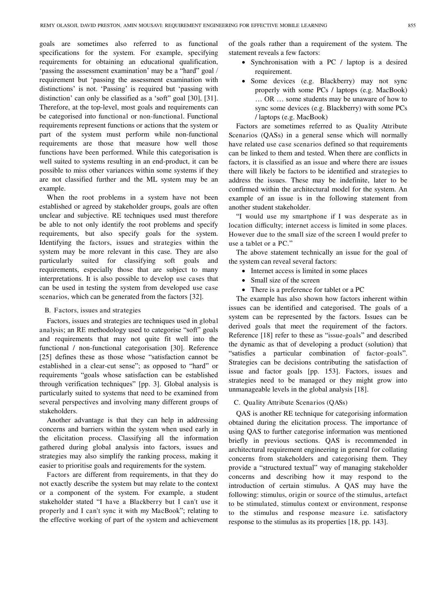goals are sometimes also referred to as functional specifications for the system. For example, specifying requirements for obtaining an educational qualification, 'passing the assessment examination' may be a "hard" goal / requirement but 'passing the assessment examination with distinctions' is not. 'Passing' is required but 'passing with distinction' can only be classified as a 'soft" goal [30], [31]. Therefore, at the top-level, most goals and requirements can be categorised into functional or non-functional. Functional requirements represent functions or actions that the system or part of the system must perform while non-functional requirements are those that measure how well those functions have been performed. While this categorisation is well suited to systems resulting in an end-product, it can be possible to miss other variances within some systems if they are not classified further and the ML system may be an example.

When the root problems in a system have not been established or agreed by stakeholder groups, goals are often unclear and subjective. RE techniques used must therefore be able to not only identify the root problems and specify requirements, but also specify goals for the system. Identifying the factors, issues and strategies within the system may be more relevant in this case. They are also particularly suited for classifying soft goals and requirements, especially those that are subject to many interpretations. It is also possible to develop use cases that can be used in testing the system from developed use case scenarios, which can be generated from the factors [32].

#### B. Factors, issues and strategies

Factors, issues and strategies are techniques used in global analysis; an RE methodology used to categorise "soft" goals and requirements that may not quite fit well into the functional / non-functional categorisation [30]. Reference [25] defines these as those whose "satisfaction cannot be established in a clear-cut sense"; as opposed to "hard" or requirements "goals whose satisfaction can be established through verification techniques" [pp. 3]. Global analysis is particularly suited to systems that need to be examined from several perspectives and involving many different groups of stakeholders.

Another advantage is that they can help in addressing concerns and barriers within the system when used early in the elicitation process. Classifying all the information gathered during global analysis into factors, issues and strategies may also simplify the ranking process, making it easier to prioritise goals and requirements for the system.

Factors are different from requirements, in that they do not exactly describe the system but may relate to the context or a component of the system. For example, a student stakeholder stated "I have a Blackberry but I can't use it properly and I can't sync it with my MacBook"; relating to the effective working of part of the system and achievement of the goals rather than a requirement of the system. The statement reveals a few factors:

- Synchronisation with a PC / laptop is a desired requirement.
- Some devices (e.g. Blackberry) may not sync properly with some PCs / laptops (e.g. MacBook) … OR … some students may be unaware of how to sync some devices (e.g. Blackberry) with some PCs / laptops (e.g. MacBook)

Factors are sometimes referred to as Quality Attribute Scenarios (QASs) in a general sense which will normally have related use case scenarios defined so that requirements can be linked to them and tested. When there are conflicts in factors, it is classified as an issue and where there are issues there will likely be factors to be identified and strategies to address the issues. These may be indefinite, later to be confirmed within the architectural model for the system. An example of an issue is in the following statement from another student stakeholder.

"I would use my smartphone if I was desperate as in location difficulty; internet access is limited in some places. However due to the small size of the screen I would prefer to use a tablet or a PC."

The above statement technically an issue for the goal of the system can reveal several factors:

- Internet access is limited in some places
- Small size of the screen
- There is a preference for tablet or a PC

The example has also shown how factors inherent within issues can be identified and categorised. The goals of a system can be represented by the factors. Issues can be derived goals that meet the requirement of the factors. Reference [18] refer to these as "issue-goals" and described the dynamic as that of developing a product (solution) that "satisfies a particular combination of factor-goals". Strategies can be decisions contributing the satisfaction of issue and factor goals [pp. 153]. Factors, issues and strategies need to be managed or they might grow into unmanageable levels in the global analysis [18].

#### C. Quality Attribute Scenarios (QASs)

QAS is another RE technique for categorising information obtained during the elicitation process. The importance of using QAS to further categorise information was mentioned briefly in previous sections. QAS is recommended in architectural requirement engineering in general for collating concerns from stakeholders and categorising them. They provide a "structured textual" way of managing stakeholder concerns and describing how it may respond to the introduction of certain stimulus. A QAS may have the following: stimulus, origin or source of the stimulus, artefact to be stimulated, stimulus context or environment, response to the stimulus and response measure i.e. satisfactory response to the stimulus as its properties [18, pp. 143].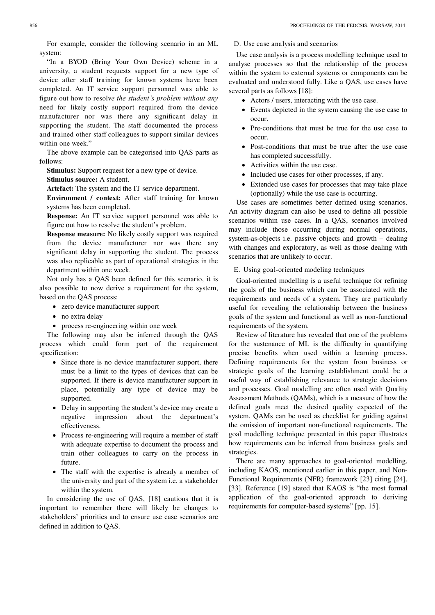For example, consider the following scenario in an ML system:

"In a BYOD (Bring Your Own Device) scheme in a university, a student requests support for a new type of device after staff training for known systems have been completed. An IT service support personnel was able to figure out how to resolv*e the student's problem without any*  need for likely costly support required from the device manufacturer nor was there any significant delay in supporting the student. The staff documented the process and trained other staff colleagues to support similar devices within one week."

The above example can be categorised into QAS parts as follows:

**Stimulus:** Support request for a new type of device.

**Stimulus source:** A student.

**Artefact:** The system and the IT service department.

**Environment / context:** After staff training for known systems has been completed.

**Response:** An IT service support personnel was able to figure out how to resolve the student's problem.

**Response measure:** No likely costly support was required from the device manufacturer nor was there any significant delay in supporting the student. The process was also replicable as part of operational strategies in the department within one week.

Not only has a QAS been defined for this scenario, it is also possible to now derive a requirement for the system, based on the QAS process:

- zero device manufacturer support
- no extra delay
- process re-engineering within one week

The following may also be inferred through the QAS process which could form part of the requirement specification:

- Since there is no device manufacturer support, there must be a limit to the types of devices that can be supported. If there is device manufacturer support in place, potentially any type of device may be supported.
- Delay in supporting the student's device may create a negative impression about the department's effectiveness.
- Process re-engineering will require a member of staff with adequate expertise to document the process and train other colleagues to carry on the process in future.
- The staff with the expertise is already a member of the university and part of the system i.e. a stakeholder within the system.

In considering the use of QAS, [18] cautions that it is important to remember there will likely be changes to stakeholders' priorities and to ensure use case scenarios are defined in addition to QAS.

D. Use case analysis and scenarios

Use case analysis is a process modelling technique used to analyse processes so that the relationship of the process within the system to external systems or components can be evaluated and understood fully. Like a QAS, use cases have several parts as follows [18]:

- Actors / users, interacting with the use case.
- Events depicted in the system causing the use case to occur.
- Pre-conditions that must be true for the use case to occur.
- Post-conditions that must be true after the use case has completed successfully.
- Activities within the use case.
- Included use cases for other processes, if any.
- Extended use cases for processes that may take place (optionally) while the use case is occurring.

Use cases are sometimes better defined using scenarios. An activity diagram can also be used to define all possible scenarios within use cases. In a QAS, scenarios involved may include those occurring during normal operations, system-as-objects i.e. passive objects and growth – dealing with changes and exploratory, as well as those dealing with scenarios that are unlikely to occur.

## E. Using goal-oriented modeling techniques

Goal-oriented modelling is a useful technique for refining the goals of the business which can be associated with the requirements and needs of a system. They are particularly useful for revealing the relationship between the business goals of the system and functional as well as non-functional requirements of the system.

Review of literature has revealed that one of the problems for the sustenance of ML is the difficulty in quantifying precise benefits when used within a learning process. Defining requirements for the system from business or strategic goals of the learning establishment could be a useful way of establishing relevance to strategic decisions and processes. Goal modelling are often used with Quality Assessment Methods (QAMs), which is a measure of how the defined goals meet the desired quality expected of the system. QAMs can be used as checklist for guiding against the omission of important non-functional requirements. The goal modelling technique presented in this paper illustrates how requirements can be inferred from business goals and strategies.

There are many approaches to goal-oriented modelling, including KAOS, mentioned earlier in this paper, and Non-Functional Requirements (NFR) framework [23] citing [24], [33]. Reference [19] stated that KAOS is "the most formal application of the goal-oriented approach to deriving requirements for computer-based systems" [pp. 15].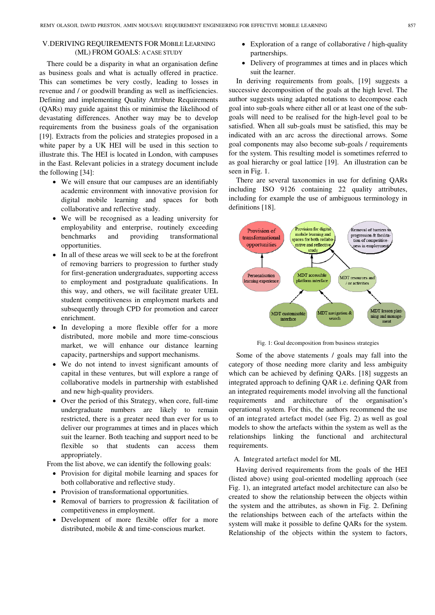## V.DERIVING REQUIREMENTS FOR MOBILE LEARNING (ML) FROM GOALS: A CASE STUDY

There could be a disparity in what an organisation define as business goals and what is actually offered in practice. This can sometimes be very costly, leading to losses in revenue and / or goodwill branding as well as inefficiencies. Defining and implementing Quality Attribute Requirements (QARs) may guide against this or minimise the likelihood of devastating differences. Another way may be to develop requirements from the business goals of the organisation [19]. Extracts from the policies and strategies proposed in a white paper by a UK HEI will be used in this section to illustrate this. The HEI is located in London, with campuses in the East. Relevant policies in a strategy document include the following [34]:

- We will ensure that our campuses are an identifiably academic environment with innovative provision for digital mobile learning and spaces for both collaborative and reflective study.
- We will be recognised as a leading university for employability and enterprise, routinely exceeding benchmarks and providing transformational opportunities.
- In all of these areas we will seek to be at the forefront of removing barriers to progression to further study for first-generation undergraduates, supporting access to employment and postgraduate qualifications. In this way, and others, we will facilitate greater UEL student competitiveness in employment markets and subsequently through CPD for promotion and career enrichment.
- In developing a more flexible offer for a more distributed, more mobile and more time-conscious market, we will enhance our distance learning capacity, partnerships and support mechanisms.
- We do not intend to invest significant amounts of capital in these ventures, but will explore a range of collaborative models in partnership with established and new high-quality providers.
- Over the period of this Strategy, when core, full-time undergraduate numbers are likely to remain restricted, there is a greater need than ever for us to deliver our programmes at times and in places which suit the learner. Both teaching and support need to be flexible so that students can access them appropriately.

From the list above, we can identify the following goals:

- Provision for digital mobile learning and spaces for both collaborative and reflective study.
- Provision of transformational opportunities.
- Removal of barriers to progression & facilitation of competitiveness in employment.
- Development of more flexible offer for a more distributed, mobile & and time-conscious market.
- Exploration of a range of collaborative / high-quality partnerships.
- Delivery of programmes at times and in places which suit the learner.

In deriving requirements from goals, [19] suggests a successive decomposition of the goals at the high level. The author suggests using adapted notations to decompose each goal into sub-goals where either all or at least one of the subgoals will need to be realised for the high-level goal to be satisfied. When all sub-goals must be satisfied, this may be indicated with an arc across the directional arrows. Some goal components may also become sub-goals / requirements for the system. This resulting model is sometimes referred to as goal hierarchy or goal lattice [19]. An illustration can be seen in Fig. 1.

There are several taxonomies in use for defining QARs including ISO 9126 containing 22 quality attributes, including for example the use of ambiguous terminology in definitions [18].



Fig. 1: Goal decomposition from business strategies

Some of the above statements / goals may fall into the category of those needing more clarity and less ambiguity which can be achieved by defining OARs. [18] suggests an integrated approach to defining QAR i.e. defining QAR from an integrated requirements model involving all the functional requirements and architecture of the organisation's operational system. For this, the authors recommend the use of an integrated artefact model (see Fig. 2) as well as goal models to show the artefacts within the system as well as the relationships linking the functional and architectural requirements.

A. Integrated artefact model for ML

Having derived requirements from the goals of the HEI (listed above) using goal-oriented modelling approach (see Fig. 1), an integrated artefact model architecture can also be created to show the relationship between the objects within the system and the attributes, as shown in Fig. 2. Defining the relationships between each of the artefacts within the system will make it possible to define QARs for the system. Relationship of the objects within the system to factors,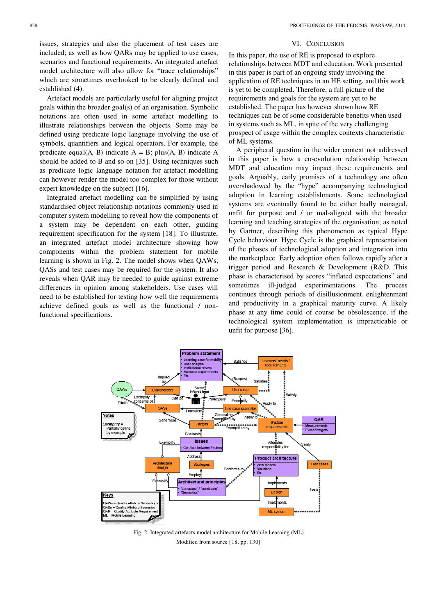issues, strategies and also the placement of test cases are included; as well as how QARs may be applied to use cases, scenarios and functional requirements. An integrated artefact model architecture will also allow for "trace relationships" which are sometimes overlooked to be clearly defined and established (4).

Artefact models are particularly useful for aligning project goals within the broader goal(s) of an organisation. Symbolic notations are often used in some artefact modelling to illustrate relationships between the objects. Some may be defined using predicate logic language involving the use of symbols, quantifiers and logical operators. For example, the predicate equal(A, B) indicate  $A = B$ ; plus(A, B) indicate A should be added to B and so on [35]. Using techniques such as predicate logic language notation for artefact modelling can however render the model too complex for those without expert knowledge on the subject [16].

Integrated artefact modelling can be simplified by using standardised object relationship notations commonly used in computer system modelling to reveal how the components of a system may be dependent on each other, guiding requirement specification for the system [18]. To illustrate, an integrated artefact model architecture showing how components within the problem statement for mobile learning is shown in Fig. 2. The model shows when QAWs, QASs and test cases may be required for the system. It also reveals when QAR may be needed to guide against extreme differences in opinion among stakeholders. Use cases will need to be established for testing how well the requirements achieve defined goals as well as the functional / nonfunctional specifications.

## VI. CONCLUSION

In this paper, the use of RE is proposed to explore relationships between MDT and education. Work presented in this paper is part of an ongoing study involving the application of RE techniques in an HE setting, and this work is yet to be completed. Therefore, a full picture of the requirements and goals for the system are yet to be established. The paper has however shown how RE techniques can be of some considerable benefits when used in systems such as ML, in spite of the very challenging prospect of usage within the complex contexts characteristic of ML systems.

A peripheral question in the wider context not addressed in this paper is how a co-evolution relationship between MDT and education may impact these requirements and goals. Arguably, early promises of a technology are often overshadowed by the "hype" accompanying technological adoption in learning establishments. Some technological systems are eventually found to be either badly managed, unfit for purpose and / or mal-aligned with the broader learning and teaching strategies of the organisation; as noted by Gartner, describing this phenomenon as typical Hype Cycle behaviour. Hype Cycle is the graphical representation of the phases of technological adoption and integration into the marketplace. Early adoption often follows rapidly after a trigger period and Research & Development (R&D. This phase is characterised by scores "inflated expectations" and sometimes ill-judged experimentations. The process continues through periods of disillusionment, enlightenment and productivity in a graphical maturity curve. A likely phase at any time could of course be obsolescence, if the technological system implementation is impracticable or unfit for purpose [36].



Fig. 2: Integrated artefacts model architecture for Mobile Learning (ML) Modified from source [18, pp. 130]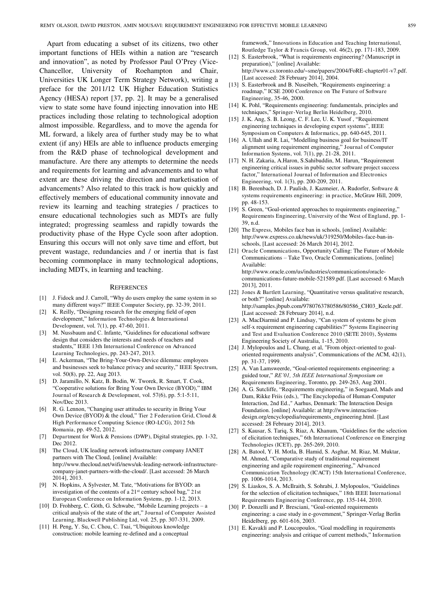Apart from educating a subset of its citizens, two other important functions of HEIs within a nation are "research and innovation", as noted by Professor Paul O'Prey (Vice-Chancellor, University of Roehampton and Chair, Universities UK Longer Term Strategy Network), writing a preface for the 2011/12 UK Higher Education Statistics Agency (HESA) report [37, pp. 2]. It may be a generalised view to state some have found injecting innovation into HE practices including those relating to technological adoption almost impossible. Regardless, and to move the agenda for ML forward, a likely area of further study may be to what extent (if any) HEIs are able to influence products emerging from the R&D phase of technological development and manufacture. Are there any attempts to determine the needs and requirements for learning and advancements and to what extent are these driving the direction and marketisation of advancements? Also related to this track is how quickly and effectively members of educational community innovate and review its learning and teaching strategies / practices to ensure educational technologies such as MDTs are fully integrated; progressing seamless and rapidly towards the productivity phase of the Hype Cycle soon after adoption. Ensuring this occurs will not only save time and effort, but prevent wastage, redundancies and / or inertia that is fast becoming commonplace in many technological adoptions, including MDTs, in learning and teaching.

#### **REFERENCES**

- [1] J. Fidock and J. Carroll, "Why do users employ the same system in so many different ways?" IEEE Computer Society, pp. 32-39, 2011.
- [2] K. Reilly, "Designing research for the emerging field of open development," Information Technologies & International Development, vol. 7(1), pp. 47-60, 2011.
- [3] M. Nussbaum and C. Infante, "Guidelines for educational software design that considers the interests and needs of teachers and students," IEEE 13th International Conference on Advanced Learning Technologies, pp. 243-247, 2013.
- [4] E. Ackerman, "The Bring-Your-Own-Device dilemma: employees and businesses seek to balance privacy and security," IEEE Spectrum, vol. 50(8), pp. 22, Aug 2013.
- [5] D. Jaramillo, N. Katz, B. Bodin, W. Tworek, R. Smart, T. Cook, "Cooperative solutions for Bring Your Own Device (BYOD)," IBM Journal of Research & Development, vol. 57(6), pp. 5:1-5:11, Nov/Dec 2013.
- [6] R. G. Lennon, "Changing user attitudes to security in Bring Your Own Device (BYOD) & the cloud," Tier 2 Federation Grid, Cloud & High Performance Computing Science (RO-LCG), 2012 5th Romania, pp. 49-52, 2012.
- [7] Department for Work & Pensions (DWP), Digital strategies, pp. 1-32, Dec 2012.
- [8] The Cloud, UK leading network infrastructure company JANET partners with The Cloud, [online] Available: http://www.thecloud.net/wifi/news/uk-leading-network-infrastructurecompany-janet-partners-with-the-cloud/. [Last accessed: 26 March 2014], 2013.
- [9] N. Hopkins, A Sylvester, M. Tate, "Motivations for BYOD: an investigation of the contents of a 21st century school bag," 21st European Conference on Information Systems, pp. 1-12, 2013.
- [10] D. Frohberg, C. Göth, G. Schwabe, "Mobile Learning projects a critical analysis of the state of the art," Journal of Computer Assisted Learning, Blackwell Publishing Ltd, vol. 25, pp. 307-331, 2009.
- [11] H. Peng, Y. Su, C. Chou, C. Tsai, "Ubiquitous knowledge construction: mobile learning re-defined and a conceptual

framework," Innovations in Education and Teaching International, Routledge Taylor & Francis Group, vol. 46(2), pp. 171-183, 2009.

- [12] S. Easterbrook, "What is requirements engineering? (Manuscript in preparation)," [online] Available: http://www.cs.toronto.edu/~sme/papers/2004/FoRE-chapter01-v7.pdf. [Last accessed: 28 February 2014], 2004.
- [13] S. Easterbrook and B. Nuseibeh, "Requirements engineering: a roadmap," ICSE 2000 Conference on The Future of Software Engineering, 35-46, 2000.
- [14] K. Pohl, "Requirements engineering: fundamentals, principles and techniques," Springer-Verlag Berlin Heidelberg, 2010.
- [15] J. K. Ang, S. B. Leong, C. F. Lee, U. K. Yusof , "Requirement engineering techniques in developing expert systems", IEEE Symposium on Computers & Informatics, pp. 640-645, 2011.
- [16] A. Ullah and R. Lai, "Modelling business goal for business/IT alignment using requirement engineering," Journal of Computer Information Systems, vol. 7(1), pp. 21-28, 2011.
- [17] N. H. Zakaria, A.Haron, S.Sahibuddin, M. Harun, "Requirement engineering critical issues in public sector software project success factor," International Journal of Information and Electronics Engineering, vol. 1(3), pp. 200-209, 2011.
- [18] B. Berenbach, D. J. Paulish, J. Kazmeier, A. Rudorfer, Software & systems requirements engineering: in practice, McGraw Hill, 2009, pp. 48-153.
- [19] S. Green, "Goal-oriented approaches to requirements engineering," Requirements Engineering, University of the West of England, pp. 1- 39, n.d.
- [20] The Express, Mobiles face ban in schools, [online] Available: http://www.express.co.uk/news/uk/319250/Mobiles-face-ban-inschools, [Last accessed: 26 March 2014], 2012.
- [21] Oracle Communications, Opportunity Calling: The Future of Mobile Communications – Take Two, Oracle Communications, [online] Available: http://www.oracle.com/us/industries/communications/oraclecommunications-future-mobile-521589.pdf. [Last accessed: 6 March 2013], 2011.
- [22] Jones & Bartlett Learning, "Quantitative versus qualitative research, or both?" [online] Available: http://samples.jbpub.com/9780763780586/80586\_CH03\_Keele.pdf. [Last accessed: 28 February 2014], n.d.
- [23] A. MacDiarmid and P. Lindsay, "Can system of systems be given self-x requirement engineering capabilities?" Systems Engineering and Test and Evaluation Conference 2010 (SETE 2010), Systems Engineering Society of Australia, 1-15, 2010.
- [24] J. Mylopoulos and L. Chung, et al, "From object-oriented to goaloriented requirements analysis", Communications of the ACM, 42(1), pp. 31-37, 1999.
- [25] A. Van Lamsweerde, "Goal-oriented requirements engineering: a guided tour," *RE'01, 5th IEEE International Symposium on*  Requirements Engineering, Toronto, pp. 249-263, Aug 2001.
- [26] A. G. Sutcliffe, "Requirements engineering," in Soegaard, Mads and Dam, Rikke Friis (eds.), "The Encyclopedia of Human-Computer Interaction, 2nd Ed.," Aarhus, Denmark: The Interaction Design Foundation. [online] Available: at http://www.interactiondesign.org/encyclopedia/requirements\_engineering.html. [Last accessed: 28 February 2014], 2013.
- [27] S. Kausar, S. Tariq, S. Riaz, A. Khanum, "Guidelines for the selection of elicitation techniques," 6th International Conference on Emerging Technologies (ICET), pp. 265-269, 2010.
- [28] A. Batool, Y. H. Motla, B. Hamid, S. Asghar, M. Riaz, M. Muktar, M. Ahmed, "Comparative study of traditional requirement engineering and agile requirement engineering," Advanced Communication Technology (ICACT) 15th International Conference, pp. 1006-1014, 2013.
- [29] S. Liaskos, S. A. McIlraith, S. Sohrabi, J. Mylopoulos, "Guidelines for the selection of elicitation techniques," 18th IEEE International Requirements Engineering Conference, pp. 135-144, 2010.
- [30] P. Donzelli and P. Bresciani, "Goal-oriented requirements engineering: a case study in e-government," Springer-Verlag Berlin Heidelberg, pp. 601-616, 2003.
- [31] E. Kavakli and P. Loucopoulos, "Goal modelling in requirements engineering: analysis and critique of current methods," Information